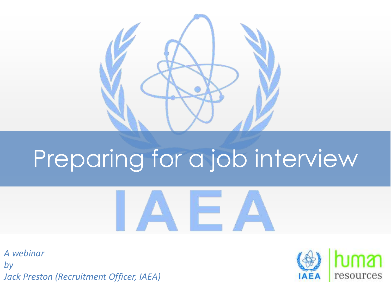

# Preparing for a job interview



*A webinar by Jack Preston (Recruitment Officer, IAEA)*

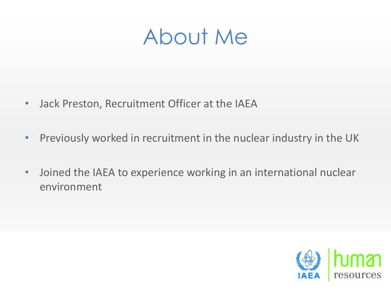### About Me

- Jack Preston, Recruitment Officer at the IAEA
- Previously worked in recruitment in the nuclear industry in the UK
- Joined the IAEA to experience working in an international nuclear environment

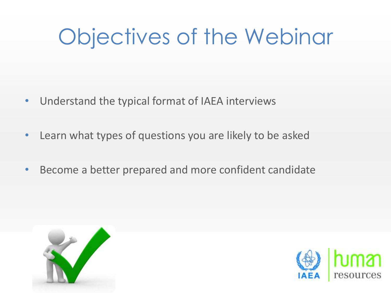## Objectives of the Webinar

- Understand the typical format of IAEA interviews
- Learn what types of questions you are likely to be asked
- Become a better prepared and more confident candidate



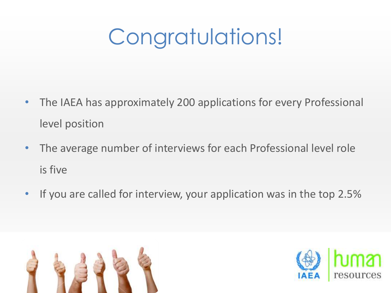## Congratulations!

- The IAEA has approximately 200 applications for every Professional level position
- The average number of interviews for each Professional level role is five
- If you are called for interview, your application was in the top 2.5%



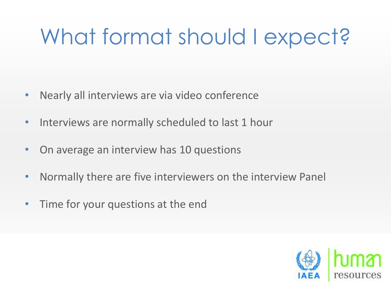## What format should I expect?

- Nearly all interviews are via video conference
- Interviews are normally scheduled to last 1 hour
- On average an interview has 10 questions
- Normally there are five interviewers on the interview Panel
- Time for your questions at the end

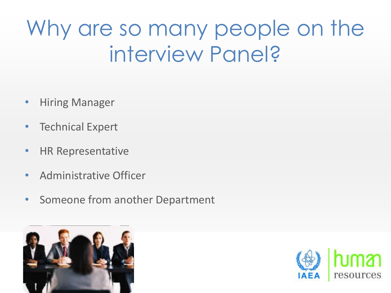## Why are so many people on the interview Panel?

- Hiring Manager
- **Technical Expert**
- HR Representative
- Administrative Officer
- Someone from another Department



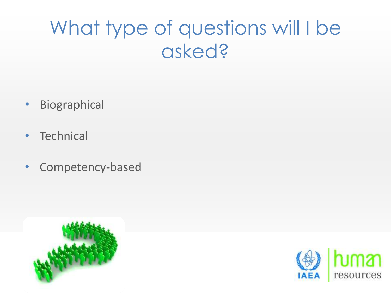### What type of questions will I be asked?

- Biographical
- **Technical**
- Competency-based



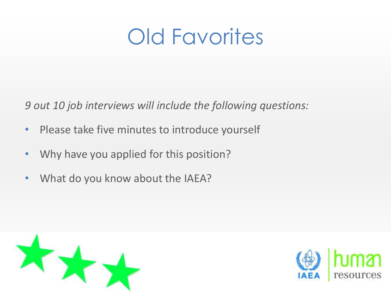### Old Favorites

*9 out 10 job interviews will include the following questions:*

- Please take five minutes to introduce yourself
- Why have you applied for this position?
- What do you know about the IAEA?



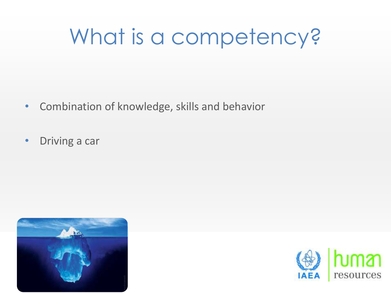## What is a competency?

- Combination of knowledge, skills and behavior
- Driving a car



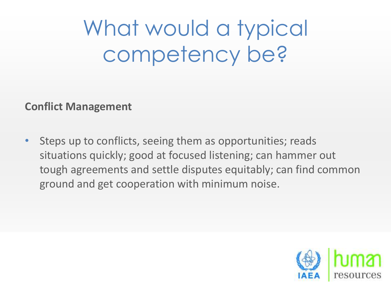What would a typical competency be?

**Conflict Management**

Steps up to conflicts, seeing them as opportunities; reads situations quickly; good at focused listening; can hammer out tough agreements and settle disputes equitably; can find common ground and get cooperation with minimum noise.

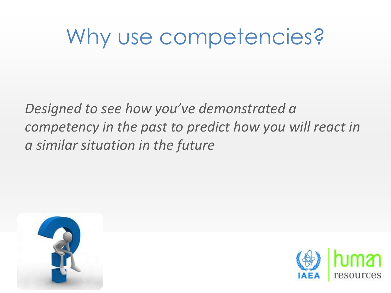### Why use competencies?

*Designed to see how you've demonstrated a competency in the past to predict how you will react in a similar situation in the future*



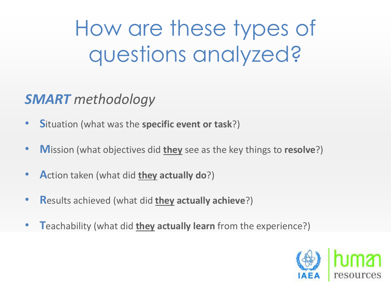How are these types of questions analyzed?

#### *SMART methodology*

- **S**ituation (what was the **specific event or task**?)
- **M**ission (what objectives did **they** see as the key things to **resolve**?)
- **A**ction taken (what did **they actually do**?)
- **R**esults achieved (what did **they actually achieve**?)
- **T**eachability (what did **they actually learn** from the experience?)

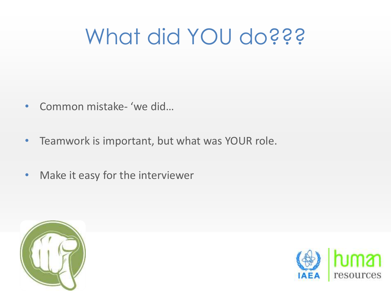## What did YOU do???

- Common mistake- 'we did…
- Teamwork is important, but what was YOUR role.
- Make it easy for the interviewer



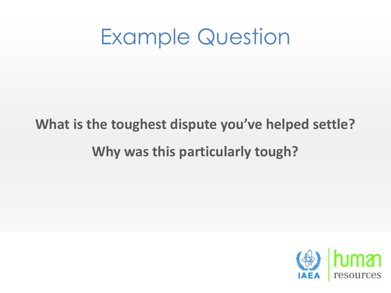### Example Question

#### **What is the toughest dispute you've helped settle? Why was this particularly tough?**

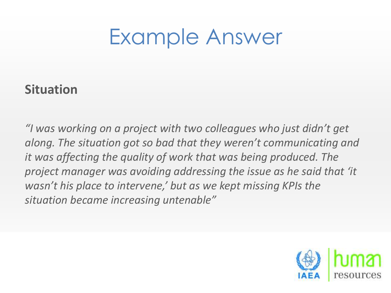#### **Situation**

*"I was working on a project with two colleagues who just didn't get along. The situation got so bad that they weren't communicating and it was affecting the quality of work that was being produced. The project manager was avoiding addressing the issue as he said that 'it wasn't his place to intervene,' but as we kept missing KPIs the situation became increasing untenable"*

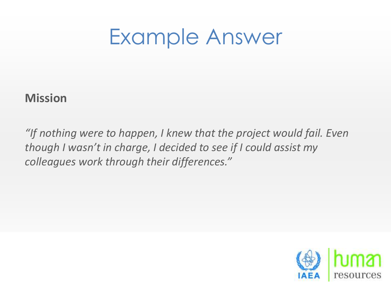#### **Mission**

*"If nothing were to happen, I knew that the project would fail. Even though I wasn't in charge, I decided to see if I could assist my colleagues work through their differences."*

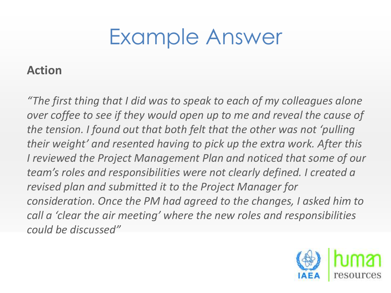#### **Action**

*"The first thing that I did was to speak to each of my colleagues alone over coffee to see if they would open up to me and reveal the cause of the tension. I found out that both felt that the other was not 'pulling their weight' and resented having to pick up the extra work. After this I reviewed the Project Management Plan and noticed that some of our team's roles and responsibilities were not clearly defined. I created a revised plan and submitted it to the Project Manager for consideration. Once the PM had agreed to the changes, I asked him to call a 'clear the air meeting' where the new roles and responsibilities could be discussed"* 

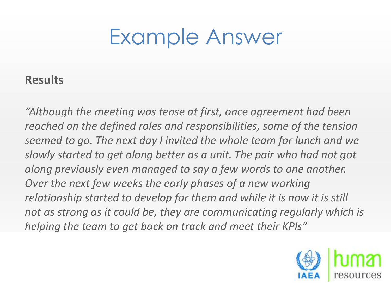#### **Results**

*"Although the meeting was tense at first, once agreement had been reached on the defined roles and responsibilities, some of the tension seemed to go. The next day I invited the whole team for lunch and we slowly started to get along better as a unit. The pair who had not got along previously even managed to say a few words to one another. Over the next few weeks the early phases of a new working relationship started to develop for them and while it is now it is still not as strong as it could be, they are communicating regularly which is helping the team to get back on track and meet their KPIs"*

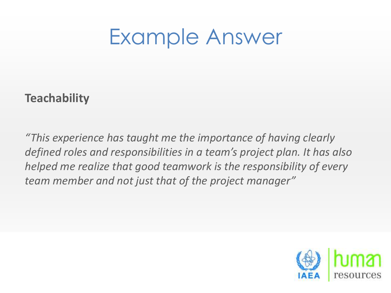#### **Teachability**

*"This experience has taught me the importance of having clearly defined roles and responsibilities in a team's project plan. It has also helped me realize that good teamwork is the responsibility of every team member and not just that of the project manager"*

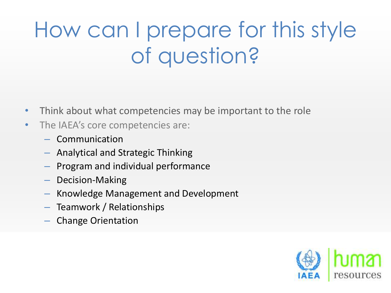## How can I prepare for this style of question?

- Think about what competencies may be important to the role
- The IAEA's core competencies are:
	- Communication
	- Analytical and Strategic Thinking
	- Program and individual performance
	- Decision-Making
	- Knowledge Management and Development
	- Teamwork / Relationships
	- Change Orientation

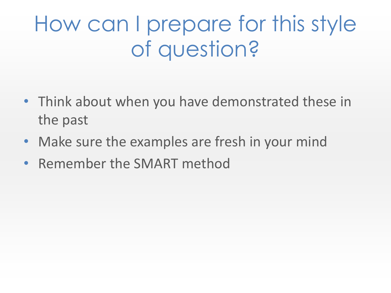## How can I prepare for this style of question?

- Think about when you have demonstrated these in the past
- Make sure the examples are fresh in your mind
- Remember the SMART method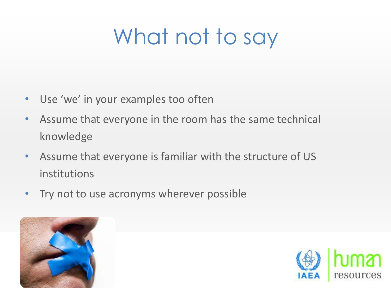## What not to say

- Use 'we' in your examples too often
- Assume that everyone in the room has the same technical knowledge
- Assume that everyone is familiar with the structure of US institutions
- Try not to use acronyms wherever possible



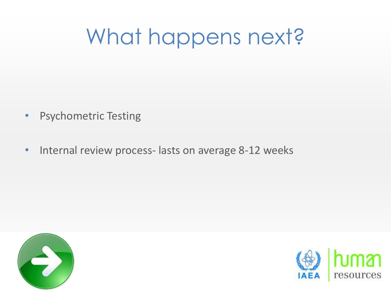## What happens next?

- Psychometric Testing
- Internal review process- lasts on average 8-12 weeks



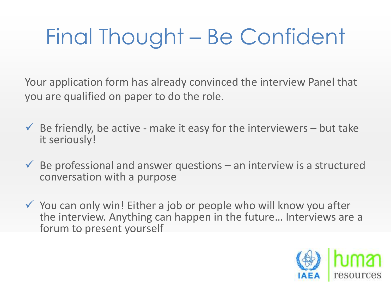## Final Thought – Be Confident

Your application form has already convinced the interview Panel that you are qualified on paper to do the role.

- $\checkmark$  Be friendly, be active make it easy for the interviewers but take it seriously!
- $\checkmark$  Be professional and answer questions an interview is a structured conversation with a purpose
- $\checkmark$  You can only win! Either a job or people who will know you after the interview. Anything can happen in the future… Interviews are a forum to present yourself

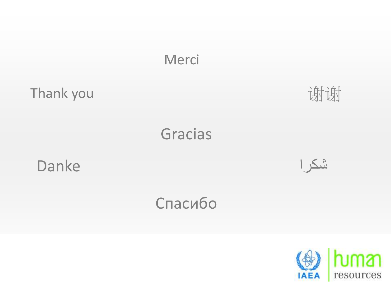